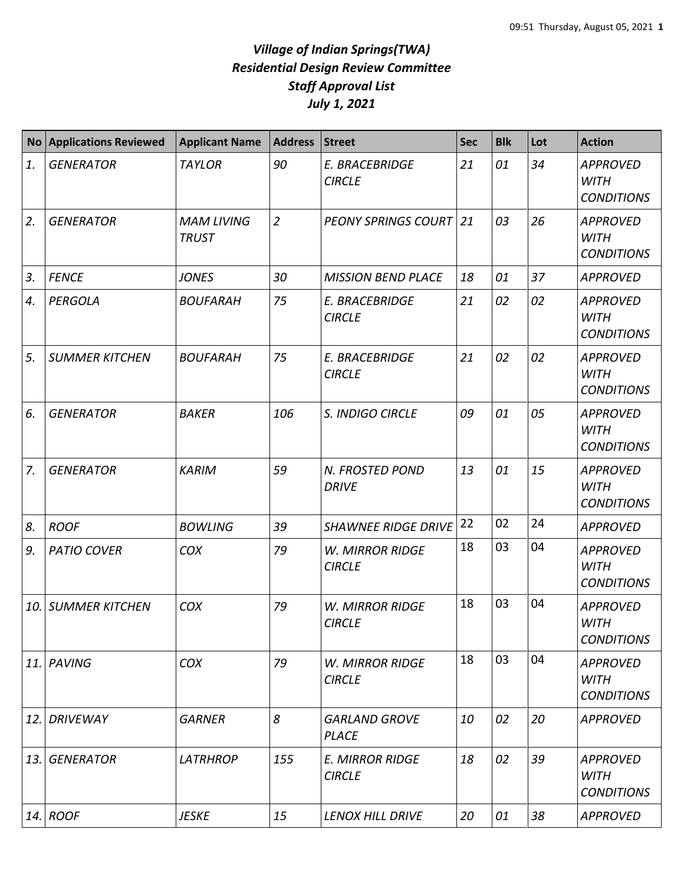## *Village of Indian Springs(TWA) Residential Design Review Committee Staff Approval List July 1, 2021*

| <b>No</b> | <b>Applications Reviewed</b> | <b>Applicant Name</b>             | <b>Address</b> | <b>Street</b>                           | <b>Sec</b> | <b>Blk</b> | Lot | <b>Action</b>                                       |
|-----------|------------------------------|-----------------------------------|----------------|-----------------------------------------|------------|------------|-----|-----------------------------------------------------|
| 1.        | <b>GENERATOR</b>             | <b>TAYLOR</b>                     | 90             | E. BRACEBRIDGE<br><b>CIRCLE</b>         | 21         | 01         | 34  | <b>APPROVED</b><br><b>WITH</b><br><b>CONDITIONS</b> |
| 2.        | <b>GENERATOR</b>             | <b>MAM LIVING</b><br><b>TRUST</b> | $\overline{2}$ | <b>PEONY SPRINGS COURT 21</b>           |            | 03         | 26  | <b>APPROVED</b><br><b>WITH</b><br><b>CONDITIONS</b> |
| 3.        | <b>FENCE</b>                 | <b>JONES</b>                      | 30             | <b>MISSION BEND PLACE</b>               | 18         | 01         | 37  | <b>APPROVED</b>                                     |
| 4.        | PERGOLA                      | <b>BOUFARAH</b>                   | 75             | E. BRACEBRIDGE<br><b>CIRCLE</b>         | 21         | 02         | 02  | <b>APPROVED</b><br><b>WITH</b><br><b>CONDITIONS</b> |
| 5.        | <b>SUMMER KITCHEN</b>        | <b>BOUFARAH</b>                   | 75             | E. BRACEBRIDGE<br><b>CIRCLE</b>         | 21         | 02         | 02  | <b>APPROVED</b><br><b>WITH</b><br><b>CONDITIONS</b> |
| 6.        | <b>GENERATOR</b>             | <b>BAKER</b>                      | 106            | S. INDIGO CIRCLE                        | 09         | 01         | 05  | <b>APPROVED</b><br><b>WITH</b><br><b>CONDITIONS</b> |
| 7.        | <b>GENERATOR</b>             | <b>KARIM</b>                      | 59             | N. FROSTED POND<br><b>DRIVE</b>         | 13         | 01         | 15  | <b>APPROVED</b><br><b>WITH</b><br><b>CONDITIONS</b> |
| 8.        | <b>ROOF</b>                  | <b>BOWLING</b>                    | 39             | <b>SHAWNEE RIDGE DRIVE</b>              | 22         | 02         | 24  | <b>APPROVED</b>                                     |
| 9.        | <b>PATIO COVER</b>           | COX                               | 79             | <b>W. MIRROR RIDGE</b><br><b>CIRCLE</b> | 18         | 03         | 04  | <b>APPROVED</b><br><b>WITH</b><br><b>CONDITIONS</b> |
| 10.       | <b>SUMMER KITCHEN</b>        | COX                               | 79             | <b>W. MIRROR RIDGE</b><br><b>CIRCLE</b> | 18         | 03         | 04  | <b>APPROVED</b><br><b>WITH</b><br><b>CONDITIONS</b> |
| 11.       | <b>PAVING</b>                | COX                               | 79             | <b>W. MIRROR RIDGE</b><br><b>CIRCLE</b> | 18         | 03         | 04  | <b>APPROVED</b><br><b>WITH</b><br><b>CONDITIONS</b> |
| 12.       | <b>DRIVEWAY</b>              | <b>GARNER</b>                     | 8              | <b>GARLAND GROVE</b><br><b>PLACE</b>    | 10         | 02         | 20  | <b>APPROVED</b>                                     |
| 13.       | <b>GENERATOR</b>             | <b>LATRHROP</b>                   | 155            | <b>E. MIRROR RIDGE</b><br><b>CIRCLE</b> | 18         | 02         | 39  | <b>APPROVED</b><br>WITH<br><b>CONDITIONS</b>        |
| 14.       | <b>ROOF</b>                  | <b>JESKE</b>                      | 15             | <b>LENOX HILL DRIVE</b>                 | 20         | 01         | 38  | <b>APPROVED</b>                                     |